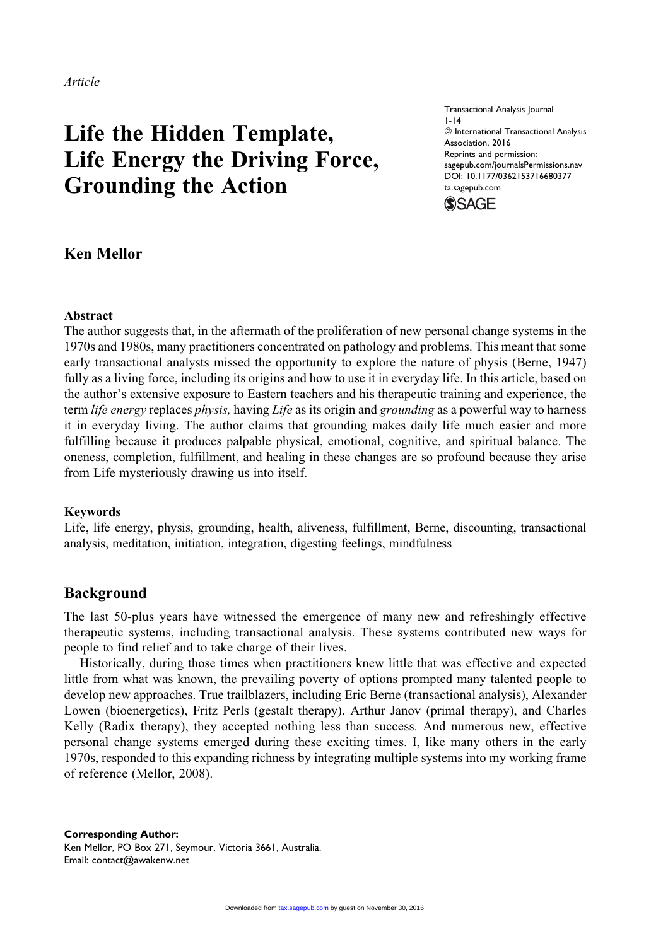# Life the Hidden Template, Life Energy the Driving Force, Grounding the Action

Transactional Analysis Journal 1-14  $©$  International Transactional Analysis Association, 2016 Reprints and permission: [sagepub.com/journalsPermissions.nav](http://www.sagepub.com/journalsPermissions.nav) [DOI: 10.1177/0362153716680377](https://doi.org/10.1177/0362153716680377) [ta.sagepub.com](http://ta.sagepub.com)



# Ken Mellor

## Abstract

The author suggests that, in the aftermath of the proliferation of new personal change systems in the 1970s and 1980s, many practitioners concentrated on pathology and problems. This meant that some early transactional analysts missed the opportunity to explore the nature of physis (Berne, 1947) fully as a living force, including its origins and how to use it in everyday life. In this article, based on the author's extensive exposure to Eastern teachers and his therapeutic training and experience, the term life energy replaces physis, having Life as its origin and grounding as a powerful way to harness it in everyday living. The author claims that grounding makes daily life much easier and more fulfilling because it produces palpable physical, emotional, cognitive, and spiritual balance. The oneness, completion, fulfillment, and healing in these changes are so profound because they arise from Life mysteriously drawing us into itself.

## Keywords

Life, life energy, physis, grounding, health, aliveness, fulfillment, Berne, discounting, transactional analysis, meditation, initiation, integration, digesting feelings, mindfulness

# Background

The last 50-plus years have witnessed the emergence of many new and refreshingly effective therapeutic systems, including transactional analysis. These systems contributed new ways for people to find relief and to take charge of their lives.

Historically, during those times when practitioners knew little that was effective and expected little from what was known, the prevailing poverty of options prompted many talented people to develop new approaches. True trailblazers, including Eric Berne (transactional analysis), Alexander Lowen (bioenergetics), Fritz Perls (gestalt therapy), Arthur Janov (primal therapy), and Charles Kelly (Radix therapy), they accepted nothing less than success. And numerous new, effective personal change systems emerged during these exciting times. I, like many others in the early 1970s, responded to this expanding richness by integrating multiple systems into my working frame of reference (Mellor, 2008).

Corresponding Author: Ken Mellor, PO Box 271, Seymour, Victoria 3661, Australia. Email: contact@awakenw.net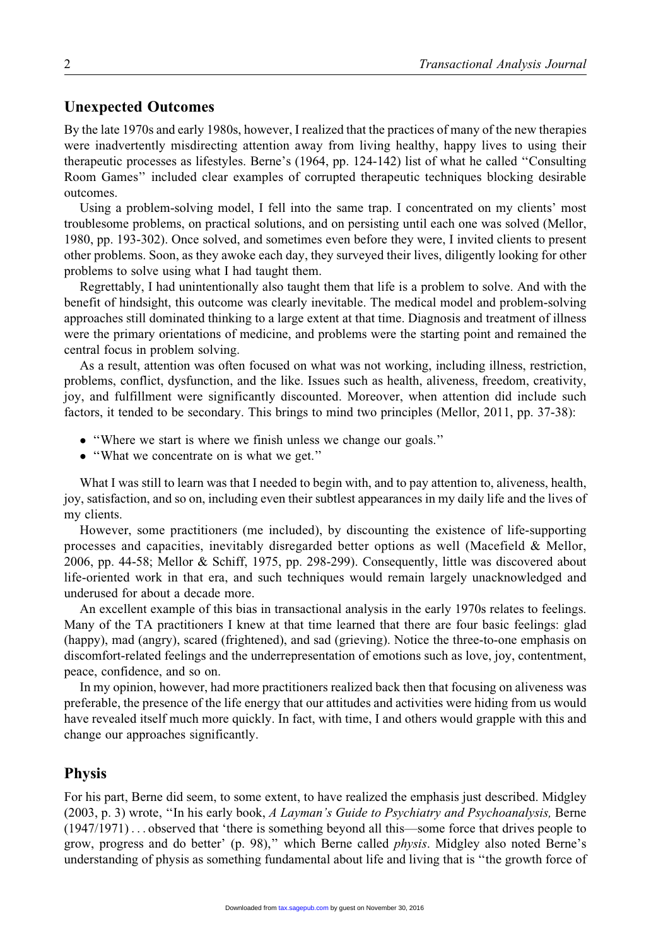#### Unexpected Outcomes

By the late 1970s and early 1980s, however, I realized that the practices of many of the new therapies were inadvertently misdirecting attention away from living healthy, happy lives to using their therapeutic processes as lifestyles. Berne's (1964, pp. 124-142) list of what he called ''Consulting Room Games'' included clear examples of corrupted therapeutic techniques blocking desirable outcomes.

Using a problem-solving model, I fell into the same trap. I concentrated on my clients' most troublesome problems, on practical solutions, and on persisting until each one was solved (Mellor, 1980, pp. 193-302). Once solved, and sometimes even before they were, I invited clients to present other problems. Soon, as they awoke each day, they surveyed their lives, diligently looking for other problems to solve using what I had taught them.

Regrettably, I had unintentionally also taught them that life is a problem to solve. And with the benefit of hindsight, this outcome was clearly inevitable. The medical model and problem-solving approaches still dominated thinking to a large extent at that time. Diagnosis and treatment of illness were the primary orientations of medicine, and problems were the starting point and remained the central focus in problem solving.

As a result, attention was often focused on what was not working, including illness, restriction, problems, conflict, dysfunction, and the like. Issues such as health, aliveness, freedom, creativity, joy, and fulfillment were significantly discounted. Moreover, when attention did include such factors, it tended to be secondary. This brings to mind two principles (Mellor, 2011, pp. 37-38):

- ''Where we start is where we finish unless we change our goals.''
- ''What we concentrate on is what we get.''

What I was still to learn was that I needed to begin with, and to pay attention to, aliveness, health, joy, satisfaction, and so on, including even their subtlest appearances in my daily life and the lives of my clients.

However, some practitioners (me included), by discounting the existence of life-supporting processes and capacities, inevitably disregarded better options as well (Macefield & Mellor, 2006, pp. 44-58; Mellor & Schiff, 1975, pp. 298-299). Consequently, little was discovered about life-oriented work in that era, and such techniques would remain largely unacknowledged and underused for about a decade more.

An excellent example of this bias in transactional analysis in the early 1970s relates to feelings. Many of the TA practitioners I knew at that time learned that there are four basic feelings: glad (happy), mad (angry), scared (frightened), and sad (grieving). Notice the three-to-one emphasis on discomfort-related feelings and the underrepresentation of emotions such as love, joy, contentment, peace, confidence, and so on.

In my opinion, however, had more practitioners realized back then that focusing on aliveness was preferable, the presence of the life energy that our attitudes and activities were hiding from us would have revealed itself much more quickly. In fact, with time, I and others would grapple with this and change our approaches significantly.

## Physis

For his part, Berne did seem, to some extent, to have realized the emphasis just described. Midgley (2003, p. 3) wrote, ''In his early book, A Layman's Guide to Psychiatry and Psychoanalysis, Berne (1947/1971) ... observed that 'there is something beyond all this—some force that drives people to grow, progress and do better' (p. 98)," which Berne called *physis*. Midgley also noted Berne's understanding of physis as something fundamental about life and living that is ''the growth force of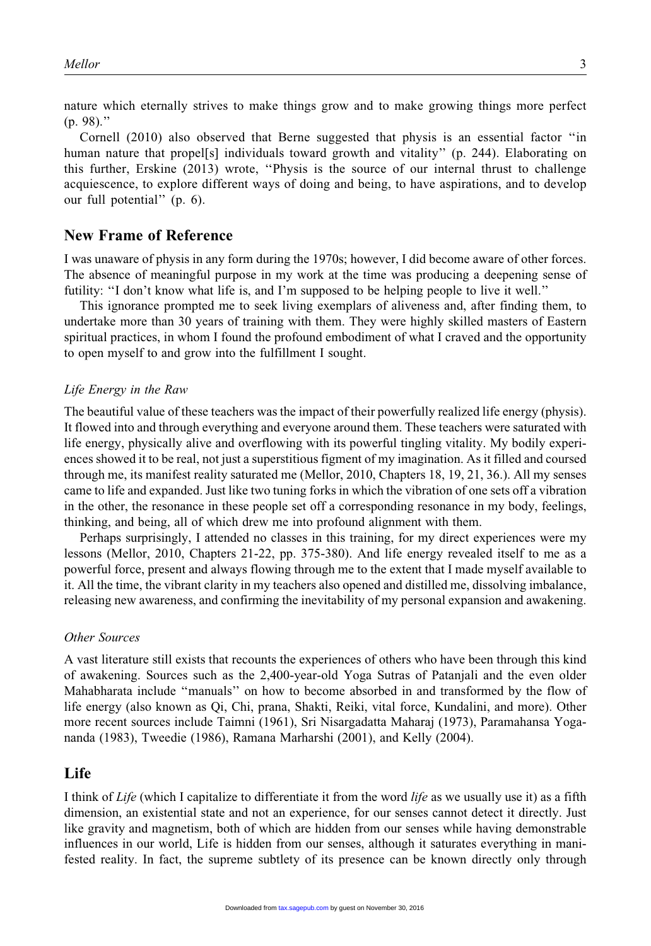nature which eternally strives to make things grow and to make growing things more perfect (p. 98).''

Cornell (2010) also observed that Berne suggested that physis is an essential factor ''in human nature that propel[s] individuals toward growth and vitality" (p. 244). Elaborating on this further, Erskine (2013) wrote, ''Physis is the source of our internal thrust to challenge acquiescence, to explore different ways of doing and being, to have aspirations, and to develop our full potential'' (p. 6).

## New Frame of Reference

I was unaware of physis in any form during the 1970s; however, I did become aware of other forces. The absence of meaningful purpose in my work at the time was producing a deepening sense of futility: ''I don't know what life is, and I'm supposed to be helping people to live it well.''

This ignorance prompted me to seek living exemplars of aliveness and, after finding them, to undertake more than 30 years of training with them. They were highly skilled masters of Eastern spiritual practices, in whom I found the profound embodiment of what I craved and the opportunity to open myself to and grow into the fulfillment I sought.

#### Life Energy in the Raw

The beautiful value of these teachers was the impact of their powerfully realized life energy (physis). It flowed into and through everything and everyone around them. These teachers were saturated with life energy, physically alive and overflowing with its powerful tingling vitality. My bodily experiences showed it to be real, not just a superstitious figment of my imagination. As it filled and coursed through me, its manifest reality saturated me (Mellor, 2010, Chapters 18, 19, 21, 36.). All my senses came to life and expanded. Just like two tuning forks in which the vibration of one sets off a vibration in the other, the resonance in these people set off a corresponding resonance in my body, feelings, thinking, and being, all of which drew me into profound alignment with them.

Perhaps surprisingly, I attended no classes in this training, for my direct experiences were my lessons (Mellor, 2010, Chapters 21-22, pp. 375-380). And life energy revealed itself to me as a powerful force, present and always flowing through me to the extent that I made myself available to it. All the time, the vibrant clarity in my teachers also opened and distilled me, dissolving imbalance, releasing new awareness, and confirming the inevitability of my personal expansion and awakening.

#### Other Sources

A vast literature still exists that recounts the experiences of others who have been through this kind of awakening. Sources such as the 2,400-year-old Yoga Sutras of Patanjali and the even older Mahabharata include ''manuals'' on how to become absorbed in and transformed by the flow of life energy (also known as Qi, Chi, prana, Shakti, Reiki, vital force, Kundalini, and more). Other more recent sources include Taimni (1961), Sri Nisargadatta Maharaj (1973), Paramahansa Yogananda (1983), Tweedie (1986), Ramana Marharshi (2001), and Kelly (2004).

#### Life

I think of Life (which I capitalize to differentiate it from the word life as we usually use it) as a fifth dimension, an existential state and not an experience, for our senses cannot detect it directly. Just like gravity and magnetism, both of which are hidden from our senses while having demonstrable influences in our world, Life is hidden from our senses, although it saturates everything in manifested reality. In fact, the supreme subtlety of its presence can be known directly only through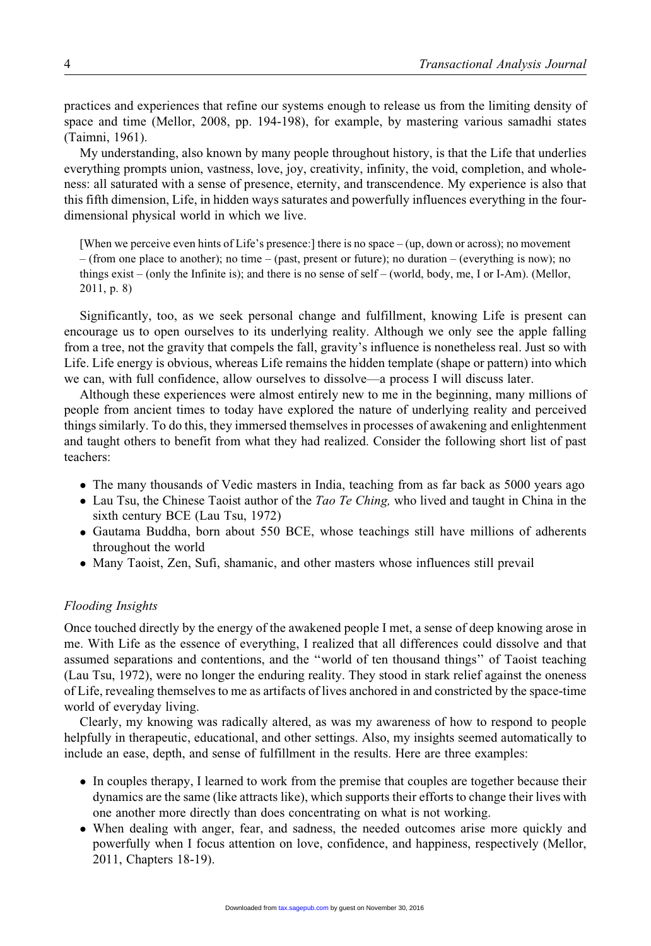practices and experiences that refine our systems enough to release us from the limiting density of space and time (Mellor, 2008, pp. 194-198), for example, by mastering various samadhi states (Taimni, 1961).

My understanding, also known by many people throughout history, is that the Life that underlies everything prompts union, vastness, love, joy, creativity, infinity, the void, completion, and wholeness: all saturated with a sense of presence, eternity, and transcendence. My experience is also that this fifth dimension, Life, in hidden ways saturates and powerfully influences everything in the fourdimensional physical world in which we live.

[When we perceive even hints of Life's presence:] there is no space – (up, down or across); no movement – (from one place to another); no time – (past, present or future); no duration – (everything is now); no things exist – (only the Infinite is); and there is no sense of self – (world, body, me, I or I-Am). (Mellor, 2011, p. 8)

Significantly, too, as we seek personal change and fulfillment, knowing Life is present can encourage us to open ourselves to its underlying reality. Although we only see the apple falling from a tree, not the gravity that compels the fall, gravity's influence is nonetheless real. Just so with Life. Life energy is obvious, whereas Life remains the hidden template (shape or pattern) into which we can, with full confidence, allow ourselves to dissolve—a process I will discuss later.

Although these experiences were almost entirely new to me in the beginning, many millions of people from ancient times to today have explored the nature of underlying reality and perceived things similarly. To do this, they immersed themselves in processes of awakening and enlightenment and taught others to benefit from what they had realized. Consider the following short list of past teachers:

- The many thousands of Vedic masters in India, teaching from as far back as 5000 years ago
- Lau Tsu, the Chinese Taoist author of the *Tao Te Ching*, who lived and taught in China in the sixth century BCE (Lau Tsu, 1972)
- Gautama Buddha, born about 550 BCE, whose teachings still have millions of adherents throughout the world
- Many Taoist, Zen, Sufi, shamanic, and other masters whose influences still prevail

## Flooding Insights

Once touched directly by the energy of the awakened people I met, a sense of deep knowing arose in me. With Life as the essence of everything, I realized that all differences could dissolve and that assumed separations and contentions, and the ''world of ten thousand things'' of Taoist teaching (Lau Tsu, 1972), were no longer the enduring reality. They stood in stark relief against the oneness of Life, revealing themselves to me as artifacts of lives anchored in and constricted by the space-time world of everyday living.

Clearly, my knowing was radically altered, as was my awareness of how to respond to people helpfully in therapeutic, educational, and other settings. Also, my insights seemed automatically to include an ease, depth, and sense of fulfillment in the results. Here are three examples:

- In couples therapy, I learned to work from the premise that couples are together because their dynamics are the same (like attracts like), which supports their efforts to change their lives with one another more directly than does concentrating on what is not working.
- When dealing with anger, fear, and sadness, the needed outcomes arise more quickly and powerfully when I focus attention on love, confidence, and happiness, respectively (Mellor, 2011, Chapters 18-19).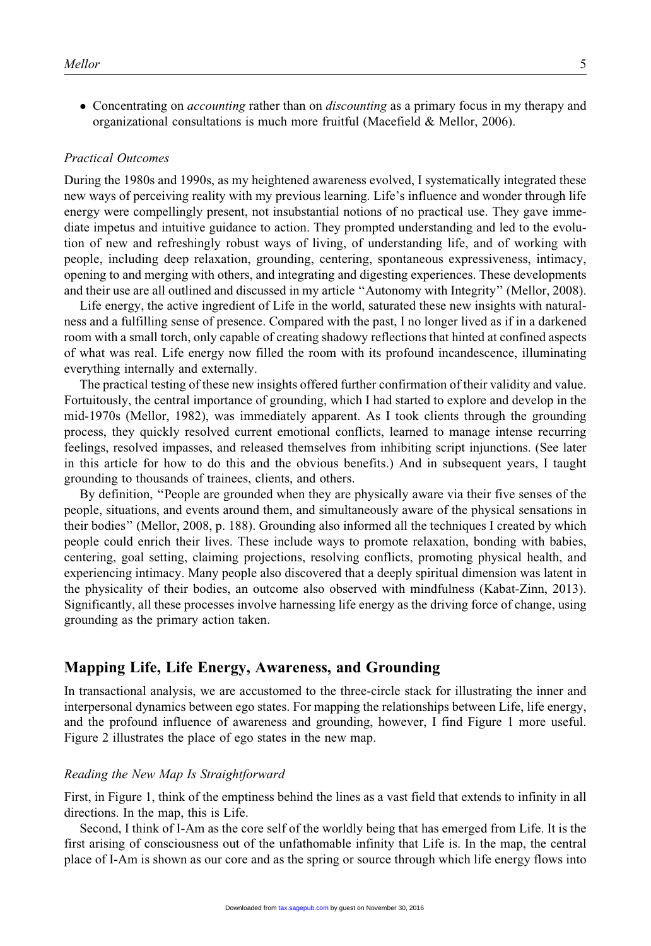• Concentrating on *accounting* rather than on *discounting* as a primary focus in my therapy and organizational consultations is much more fruitful (Macefield & Mellor, 2006).

#### Practical Outcomes

During the 1980s and 1990s, as my heightened awareness evolved, I systematically integrated these new ways of perceiving reality with my previous learning. Life's influence and wonder through life energy were compellingly present, not insubstantial notions of no practical use. They gave immediate impetus and intuitive guidance to action. They prompted understanding and led to the evolution of new and refreshingly robust ways of living, of understanding life, and of working with people, including deep relaxation, grounding, centering, spontaneous expressiveness, intimacy, opening to and merging with others, and integrating and digesting experiences. These developments and their use are all outlined and discussed in my article ''Autonomy with Integrity'' (Mellor, 2008).

Life energy, the active ingredient of Life in the world, saturated these new insights with naturalness and a fulfilling sense of presence. Compared with the past, I no longer lived as if in a darkened room with a small torch, only capable of creating shadowy reflections that hinted at confined aspects of what was real. Life energy now filled the room with its profound incandescence, illuminating everything internally and externally.

The practical testing of these new insights offered further confirmation of their validity and value. Fortuitously, the central importance of grounding, which I had started to explore and develop in the mid-1970s (Mellor, 1982), was immediately apparent. As I took clients through the grounding process, they quickly resolved current emotional conflicts, learned to manage intense recurring feelings, resolved impasses, and released themselves from inhibiting script injunctions. (See later in this article for how to do this and the obvious benefits.) And in subsequent years, I taught grounding to thousands of trainees, clients, and others.

By definition, ''People are grounded when they are physically aware via their five senses of the people, situations, and events around them, and simultaneously aware of the physical sensations in their bodies'' (Mellor, 2008, p. 188). Grounding also informed all the techniques I created by which people could enrich their lives. These include ways to promote relaxation, bonding with babies, centering, goal setting, claiming projections, resolving conflicts, promoting physical health, and experiencing intimacy. Many people also discovered that a deeply spiritual dimension was latent in the physicality of their bodies, an outcome also observed with mindfulness (Kabat-Zinn, 2013). Significantly, all these processes involve harnessing life energy as the driving force of change, using grounding as the primary action taken.

## Mapping Life, Life Energy, Awareness, and Grounding

In transactional analysis, we are accustomed to the three-circle stack for illustrating the inner and interpersonal dynamics between ego states. For mapping the relationships between Life, life energy, and the profound influence of awareness and grounding, however, I find Figure 1 more useful. Figure 2 illustrates the place of ego states in the new map.

#### Reading the New Map Is Straightforward

First, in Figure 1, think of the emptiness behind the lines as a vast field that extends to infinity in all directions. In the map, this is Life.

Second, I think of I-Am as the core self of the worldly being that has emerged from Life. It is the first arising of consciousness out of the unfathomable infinity that Life is. In the map, the central place of I-Am is shown as our core and as the spring or source through which life energy flows into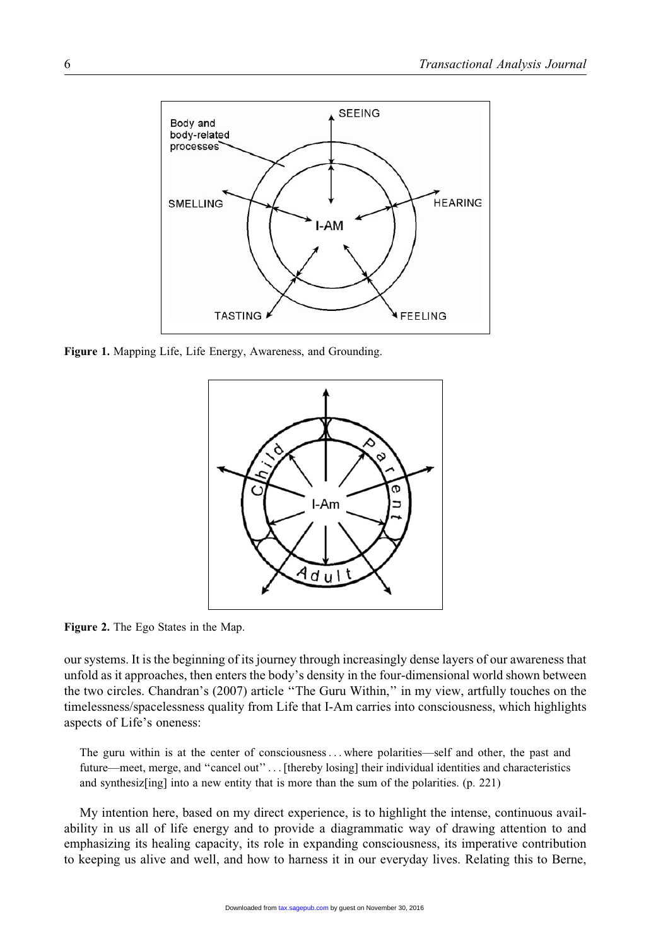

Figure 1. Mapping Life, Life Energy, Awareness, and Grounding.



Figure 2. The Ego States in the Map.

our systems. It is the beginning of its journey through increasingly dense layers of our awareness that unfold as it approaches, then enters the body's density in the four-dimensional world shown between the two circles. Chandran's (2007) article ''The Guru Within,'' in my view, artfully touches on the timelessness/spacelessness quality from Life that I-Am carries into consciousness, which highlights aspects of Life's oneness:

The guru within is at the center of consciousness... where polarities—self and other, the past and future—meet, merge, and ''cancel out'' ...[thereby losing] their individual identities and characteristics and synthesiz[ing] into a new entity that is more than the sum of the polarities. (p. 221)

My intention here, based on my direct experience, is to highlight the intense, continuous availability in us all of life energy and to provide a diagrammatic way of drawing attention to and emphasizing its healing capacity, its role in expanding consciousness, its imperative contribution to keeping us alive and well, and how to harness it in our everyday lives. Relating this to Berne,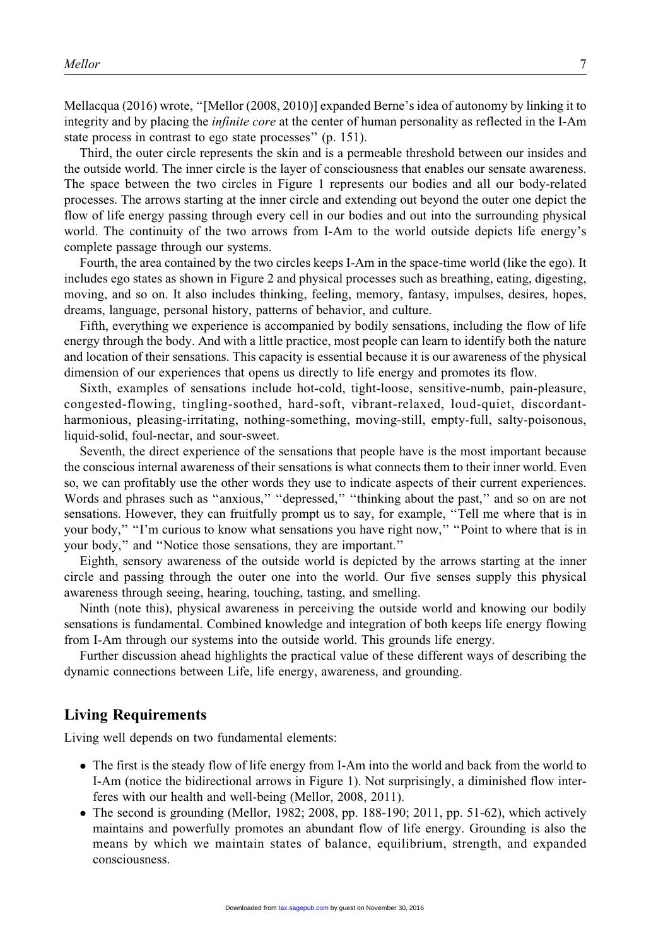Mellacqua (2016) wrote, ''[Mellor (2008, 2010)] expanded Berne's idea of autonomy by linking it to integrity and by placing the infinite core at the center of human personality as reflected in the I-Am state process in contrast to ego state processes'' (p. 151).

Third, the outer circle represents the skin and is a permeable threshold between our insides and the outside world. The inner circle is the layer of consciousness that enables our sensate awareness. The space between the two circles in Figure 1 represents our bodies and all our body-related processes. The arrows starting at the inner circle and extending out beyond the outer one depict the flow of life energy passing through every cell in our bodies and out into the surrounding physical world. The continuity of the two arrows from I-Am to the world outside depicts life energy's complete passage through our systems.

Fourth, the area contained by the two circles keeps I-Am in the space-time world (like the ego). It includes ego states as shown in Figure 2 and physical processes such as breathing, eating, digesting, moving, and so on. It also includes thinking, feeling, memory, fantasy, impulses, desires, hopes, dreams, language, personal history, patterns of behavior, and culture.

Fifth, everything we experience is accompanied by bodily sensations, including the flow of life energy through the body. And with a little practice, most people can learn to identify both the nature and location of their sensations. This capacity is essential because it is our awareness of the physical dimension of our experiences that opens us directly to life energy and promotes its flow.

Sixth, examples of sensations include hot-cold, tight-loose, sensitive-numb, pain-pleasure, congested-flowing, tingling-soothed, hard-soft, vibrant-relaxed, loud-quiet, discordantharmonious, pleasing-irritating, nothing-something, moving-still, empty-full, salty-poisonous, liquid-solid, foul-nectar, and sour-sweet.

Seventh, the direct experience of the sensations that people have is the most important because the conscious internal awareness of their sensations is what connects them to their inner world. Even so, we can profitably use the other words they use to indicate aspects of their current experiences. Words and phrases such as "anxious," "depressed," "thinking about the past," and so on are not sensations. However, they can fruitfully prompt us to say, for example, ''Tell me where that is in your body," "I'm curious to know what sensations you have right now," "Point to where that is in your body,'' and ''Notice those sensations, they are important.''

Eighth, sensory awareness of the outside world is depicted by the arrows starting at the inner circle and passing through the outer one into the world. Our five senses supply this physical awareness through seeing, hearing, touching, tasting, and smelling.

Ninth (note this), physical awareness in perceiving the outside world and knowing our bodily sensations is fundamental. Combined knowledge and integration of both keeps life energy flowing from I-Am through our systems into the outside world. This grounds life energy.

Further discussion ahead highlights the practical value of these different ways of describing the dynamic connections between Life, life energy, awareness, and grounding.

## Living Requirements

Living well depends on two fundamental elements:

- The first is the steady flow of life energy from I-Am into the world and back from the world to I-Am (notice the bidirectional arrows in Figure 1). Not surprisingly, a diminished flow interferes with our health and well-being (Mellor, 2008, 2011).
- The second is grounding (Mellor, 1982; 2008, pp. 188-190; 2011, pp. 51-62), which actively maintains and powerfully promotes an abundant flow of life energy. Grounding is also the means by which we maintain states of balance, equilibrium, strength, and expanded consciousness.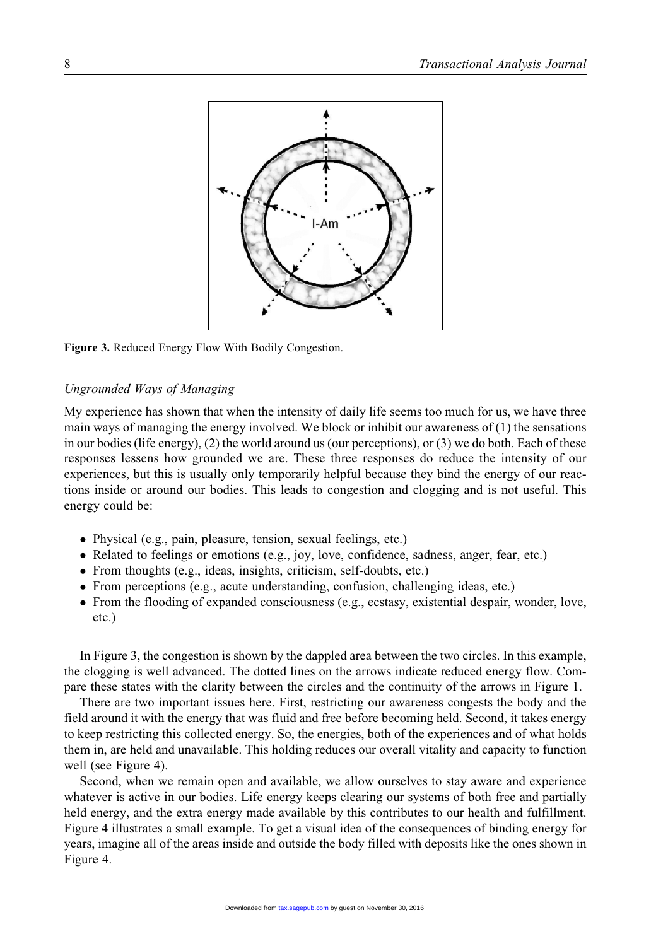

Figure 3. Reduced Energy Flow With Bodily Congestion.

#### Ungrounded Ways of Managing

My experience has shown that when the intensity of daily life seems too much for us, we have three main ways of managing the energy involved. We block or inhibit our awareness of (1) the sensations in our bodies (life energy), (2) the world around us (our perceptions), or (3) we do both. Each of these responses lessens how grounded we are. These three responses do reduce the intensity of our experiences, but this is usually only temporarily helpful because they bind the energy of our reactions inside or around our bodies. This leads to congestion and clogging and is not useful. This energy could be:

- Physical (e.g., pain, pleasure, tension, sexual feelings, etc.)
- Related to feelings or emotions (e.g., joy, love, confidence, sadness, anger, fear, etc.)
- From thoughts (e.g., ideas, insights, criticism, self-doubts, etc.)
- From perceptions (e.g., acute understanding, confusion, challenging ideas, etc.)
- From the flooding of expanded consciousness (e.g., ecstasy, existential despair, wonder, love, etc.)

In Figure 3, the congestion is shown by the dappled area between the two circles. In this example, the clogging is well advanced. The dotted lines on the arrows indicate reduced energy flow. Compare these states with the clarity between the circles and the continuity of the arrows in Figure 1.

There are two important issues here. First, restricting our awareness congests the body and the field around it with the energy that was fluid and free before becoming held. Second, it takes energy to keep restricting this collected energy. So, the energies, both of the experiences and of what holds them in, are held and unavailable. This holding reduces our overall vitality and capacity to function well (see Figure 4).

Second, when we remain open and available, we allow ourselves to stay aware and experience whatever is active in our bodies. Life energy keeps clearing our systems of both free and partially held energy, and the extra energy made available by this contributes to our health and fulfillment. Figure 4 illustrates a small example. To get a visual idea of the consequences of binding energy for years, imagine all of the areas inside and outside the body filled with deposits like the ones shown in Figure 4.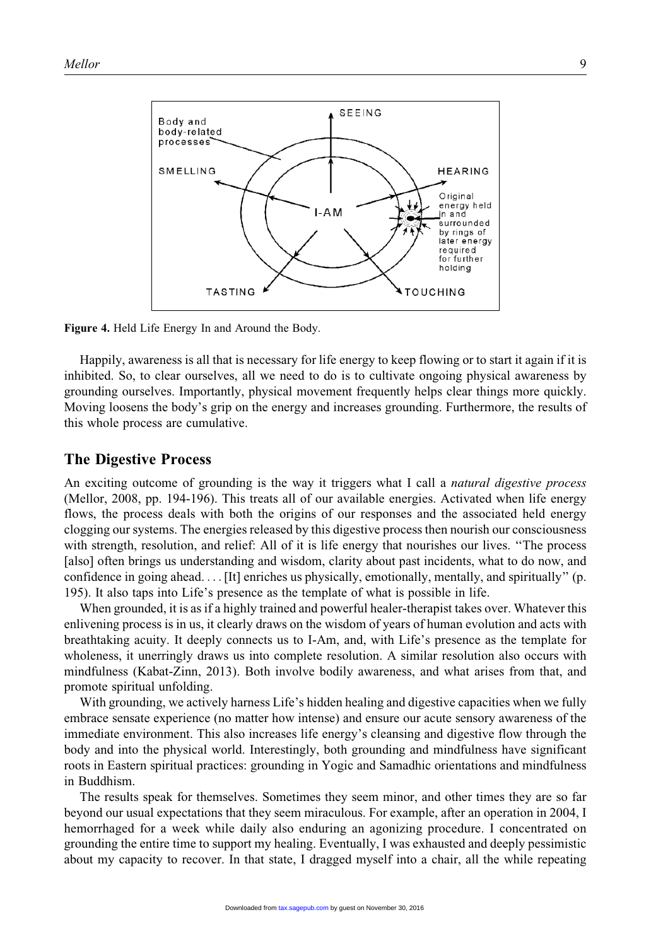

Figure 4. Held Life Energy In and Around the Body.

Happily, awareness is all that is necessary for life energy to keep flowing or to start it again if it is inhibited. So, to clear ourselves, all we need to do is to cultivate ongoing physical awareness by grounding ourselves. Importantly, physical movement frequently helps clear things more quickly. Moving loosens the body's grip on the energy and increases grounding. Furthermore, the results of this whole process are cumulative.

### The Digestive Process

An exciting outcome of grounding is the way it triggers what I call a *natural digestive process* (Mellor, 2008, pp. 194-196). This treats all of our available energies. Activated when life energy flows, the process deals with both the origins of our responses and the associated held energy clogging our systems. The energies released by this digestive process then nourish our consciousness with strength, resolution, and relief: All of it is life energy that nourishes our lives. ''The process [also] often brings us understanding and wisdom, clarity about past incidents, what to do now, and confidence in going ahead. ... [It] enriches us physically, emotionally, mentally, and spiritually'' (p. 195). It also taps into Life's presence as the template of what is possible in life.

When grounded, it is as if a highly trained and powerful healer-therapist takes over. Whatever this enlivening process is in us, it clearly draws on the wisdom of years of human evolution and acts with breathtaking acuity. It deeply connects us to I-Am, and, with Life's presence as the template for wholeness, it unerringly draws us into complete resolution. A similar resolution also occurs with mindfulness (Kabat-Zinn, 2013). Both involve bodily awareness, and what arises from that, and promote spiritual unfolding.

With grounding, we actively harness Life's hidden healing and digestive capacities when we fully embrace sensate experience (no matter how intense) and ensure our acute sensory awareness of the immediate environment. This also increases life energy's cleansing and digestive flow through the body and into the physical world. Interestingly, both grounding and mindfulness have significant roots in Eastern spiritual practices: grounding in Yogic and Samadhic orientations and mindfulness in Buddhism.

The results speak for themselves. Sometimes they seem minor, and other times they are so far beyond our usual expectations that they seem miraculous. For example, after an operation in 2004, I hemorrhaged for a week while daily also enduring an agonizing procedure. I concentrated on grounding the entire time to support my healing. Eventually, I was exhausted and deeply pessimistic about my capacity to recover. In that state, I dragged myself into a chair, all the while repeating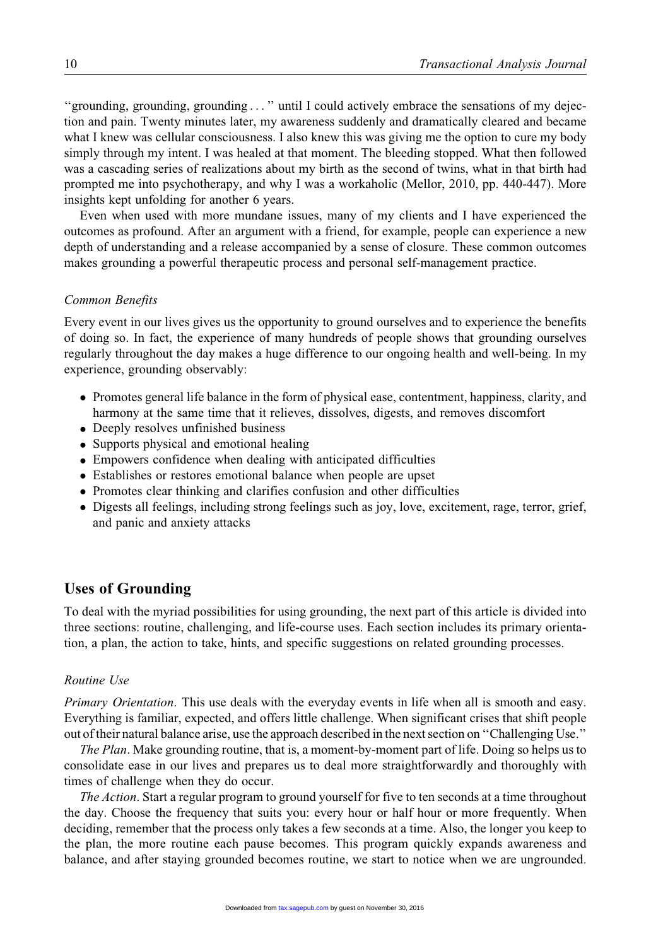''grounding, grounding, grounding ... '' until I could actively embrace the sensations of my dejection and pain. Twenty minutes later, my awareness suddenly and dramatically cleared and became what I knew was cellular consciousness. I also knew this was giving me the option to cure my body simply through my intent. I was healed at that moment. The bleeding stopped. What then followed was a cascading series of realizations about my birth as the second of twins, what in that birth had prompted me into psychotherapy, and why I was a workaholic (Mellor, 2010, pp. 440-447). More insights kept unfolding for another 6 years.

Even when used with more mundane issues, many of my clients and I have experienced the outcomes as profound. After an argument with a friend, for example, people can experience a new depth of understanding and a release accompanied by a sense of closure. These common outcomes makes grounding a powerful therapeutic process and personal self-management practice.

#### Common Benefits

Every event in our lives gives us the opportunity to ground ourselves and to experience the benefits of doing so. In fact, the experience of many hundreds of people shows that grounding ourselves regularly throughout the day makes a huge difference to our ongoing health and well-being. In my experience, grounding observably:

- Promotes general life balance in the form of physical ease, contentment, happiness, clarity, and harmony at the same time that it relieves, dissolves, digests, and removes discomfort
- Deeply resolves unfinished business
- Supports physical and emotional healing
- Empowers confidence when dealing with anticipated difficulties
- Establishes or restores emotional balance when people are upset
- Promotes clear thinking and clarifies confusion and other difficulties
- Digests all feelings, including strong feelings such as joy, love, excitement, rage, terror, grief, and panic and anxiety attacks

## Uses of Grounding

To deal with the myriad possibilities for using grounding, the next part of this article is divided into three sections: routine, challenging, and life-course uses. Each section includes its primary orientation, a plan, the action to take, hints, and specific suggestions on related grounding processes.

#### Routine Use

Primary Orientation. This use deals with the everyday events in life when all is smooth and easy. Everything is familiar, expected, and offers little challenge. When significant crises that shift people out of their natural balance arise, use the approach described in the next section on ''Challenging Use.''

The Plan. Make grounding routine, that is, a moment-by-moment part of life. Doing so helps us to consolidate ease in our lives and prepares us to deal more straightforwardly and thoroughly with times of challenge when they do occur.

The Action. Start a regular program to ground yourself for five to ten seconds at a time throughout the day. Choose the frequency that suits you: every hour or half hour or more frequently. When deciding, remember that the process only takes a few seconds at a time. Also, the longer you keep to the plan, the more routine each pause becomes. This program quickly expands awareness and balance, and after staying grounded becomes routine, we start to notice when we are ungrounded.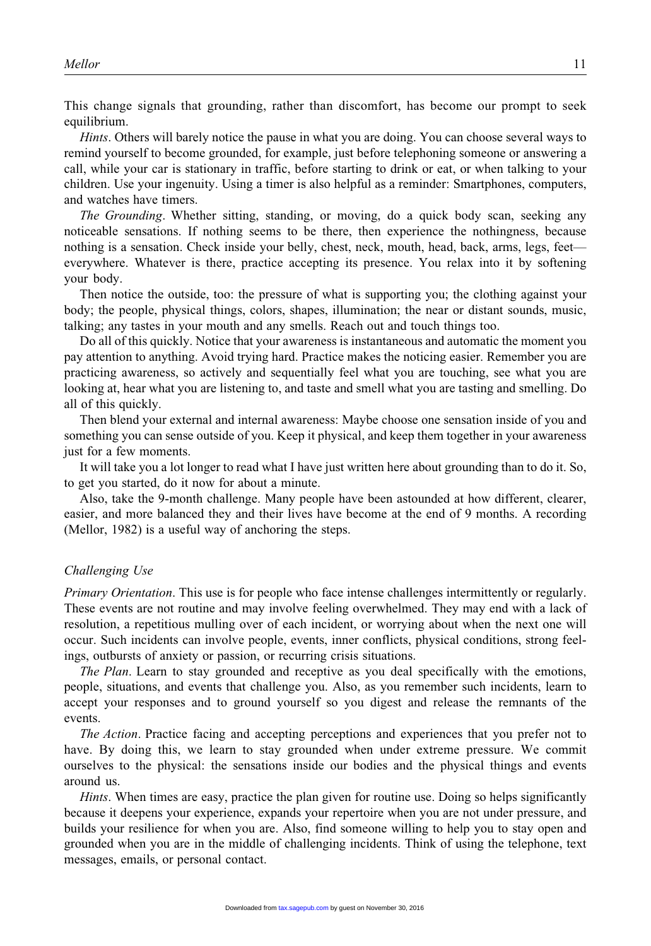This change signals that grounding, rather than discomfort, has become our prompt to seek equilibrium.

Hints. Others will barely notice the pause in what you are doing. You can choose several ways to remind yourself to become grounded, for example, just before telephoning someone or answering a call, while your car is stationary in traffic, before starting to drink or eat, or when talking to your children. Use your ingenuity. Using a timer is also helpful as a reminder: Smartphones, computers, and watches have timers.

The Grounding. Whether sitting, standing, or moving, do a quick body scan, seeking any noticeable sensations. If nothing seems to be there, then experience the nothingness, because nothing is a sensation. Check inside your belly, chest, neck, mouth, head, back, arms, legs, feet everywhere. Whatever is there, practice accepting its presence. You relax into it by softening your body.

Then notice the outside, too: the pressure of what is supporting you; the clothing against your body; the people, physical things, colors, shapes, illumination; the near or distant sounds, music, talking; any tastes in your mouth and any smells. Reach out and touch things too.

Do all of this quickly. Notice that your awareness is instantaneous and automatic the moment you pay attention to anything. Avoid trying hard. Practice makes the noticing easier. Remember you are practicing awareness, so actively and sequentially feel what you are touching, see what you are looking at, hear what you are listening to, and taste and smell what you are tasting and smelling. Do all of this quickly.

Then blend your external and internal awareness: Maybe choose one sensation inside of you and something you can sense outside of you. Keep it physical, and keep them together in your awareness just for a few moments.

It will take you a lot longer to read what I have just written here about grounding than to do it. So, to get you started, do it now for about a minute.

Also, take the 9-month challenge. Many people have been astounded at how different, clearer, easier, and more balanced they and their lives have become at the end of 9 months. A recording (Mellor, 1982) is a useful way of anchoring the steps.

#### Challenging Use

Primary Orientation. This use is for people who face intense challenges intermittently or regularly. These events are not routine and may involve feeling overwhelmed. They may end with a lack of resolution, a repetitious mulling over of each incident, or worrying about when the next one will occur. Such incidents can involve people, events, inner conflicts, physical conditions, strong feelings, outbursts of anxiety or passion, or recurring crisis situations.

The Plan. Learn to stay grounded and receptive as you deal specifically with the emotions, people, situations, and events that challenge you. Also, as you remember such incidents, learn to accept your responses and to ground yourself so you digest and release the remnants of the events.

The Action. Practice facing and accepting perceptions and experiences that you prefer not to have. By doing this, we learn to stay grounded when under extreme pressure. We commit ourselves to the physical: the sensations inside our bodies and the physical things and events around us.

Hints. When times are easy, practice the plan given for routine use. Doing so helps significantly because it deepens your experience, expands your repertoire when you are not under pressure, and builds your resilience for when you are. Also, find someone willing to help you to stay open and grounded when you are in the middle of challenging incidents. Think of using the telephone, text messages, emails, or personal contact.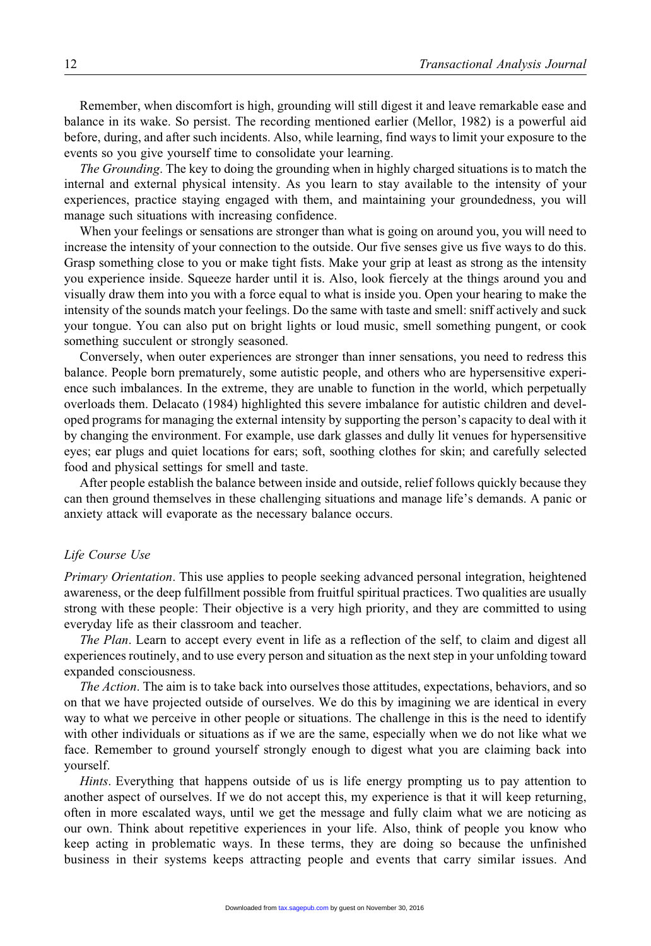Remember, when discomfort is high, grounding will still digest it and leave remarkable ease and balance in its wake. So persist. The recording mentioned earlier (Mellor, 1982) is a powerful aid before, during, and after such incidents. Also, while learning, find ways to limit your exposure to the events so you give yourself time to consolidate your learning.

The Grounding. The key to doing the grounding when in highly charged situations is to match the internal and external physical intensity. As you learn to stay available to the intensity of your experiences, practice staying engaged with them, and maintaining your groundedness, you will manage such situations with increasing confidence.

When your feelings or sensations are stronger than what is going on around you, you will need to increase the intensity of your connection to the outside. Our five senses give us five ways to do this. Grasp something close to you or make tight fists. Make your grip at least as strong as the intensity you experience inside. Squeeze harder until it is. Also, look fiercely at the things around you and visually draw them into you with a force equal to what is inside you. Open your hearing to make the intensity of the sounds match your feelings. Do the same with taste and smell: sniff actively and suck your tongue. You can also put on bright lights or loud music, smell something pungent, or cook something succulent or strongly seasoned.

Conversely, when outer experiences are stronger than inner sensations, you need to redress this balance. People born prematurely, some autistic people, and others who are hypersensitive experience such imbalances. In the extreme, they are unable to function in the world, which perpetually overloads them. Delacato (1984) highlighted this severe imbalance for autistic children and developed programs for managing the external intensity by supporting the person's capacity to deal with it by changing the environment. For example, use dark glasses and dully lit venues for hypersensitive eyes; ear plugs and quiet locations for ears; soft, soothing clothes for skin; and carefully selected food and physical settings for smell and taste.

After people establish the balance between inside and outside, relief follows quickly because they can then ground themselves in these challenging situations and manage life's demands. A panic or anxiety attack will evaporate as the necessary balance occurs.

#### Life Course Use

Primary Orientation. This use applies to people seeking advanced personal integration, heightened awareness, or the deep fulfillment possible from fruitful spiritual practices. Two qualities are usually strong with these people: Their objective is a very high priority, and they are committed to using everyday life as their classroom and teacher.

The Plan. Learn to accept every event in life as a reflection of the self, to claim and digest all experiences routinely, and to use every person and situation as the next step in your unfolding toward expanded consciousness.

The Action. The aim is to take back into ourselves those attitudes, expectations, behaviors, and so on that we have projected outside of ourselves. We do this by imagining we are identical in every way to what we perceive in other people or situations. The challenge in this is the need to identify with other individuals or situations as if we are the same, especially when we do not like what we face. Remember to ground yourself strongly enough to digest what you are claiming back into yourself.

Hints. Everything that happens outside of us is life energy prompting us to pay attention to another aspect of ourselves. If we do not accept this, my experience is that it will keep returning, often in more escalated ways, until we get the message and fully claim what we are noticing as our own. Think about repetitive experiences in your life. Also, think of people you know who keep acting in problematic ways. In these terms, they are doing so because the unfinished business in their systems keeps attracting people and events that carry similar issues. And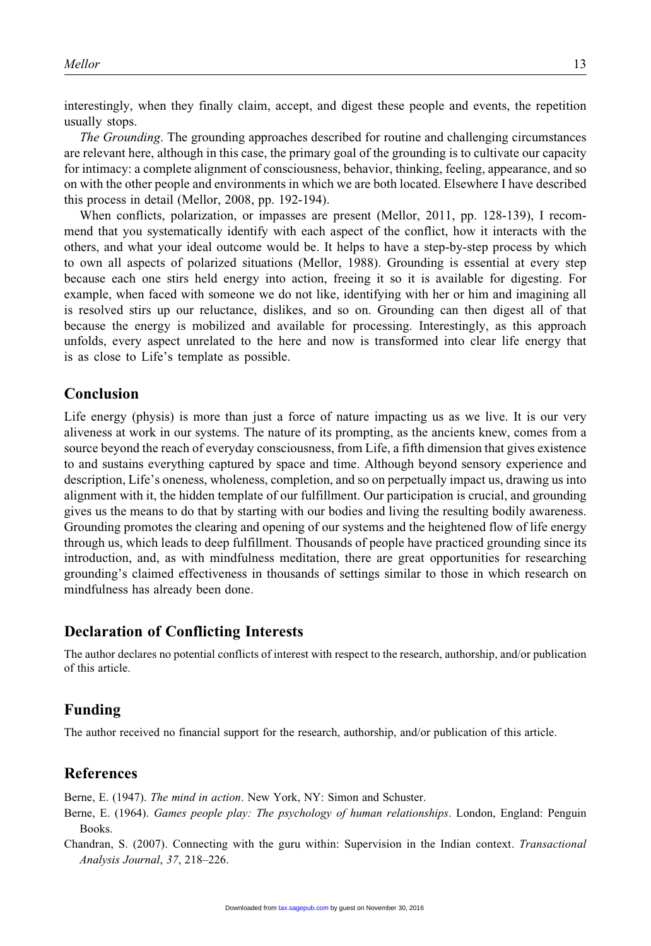interestingly, when they finally claim, accept, and digest these people and events, the repetition usually stops.

The Grounding. The grounding approaches described for routine and challenging circumstances are relevant here, although in this case, the primary goal of the grounding is to cultivate our capacity for intimacy: a complete alignment of consciousness, behavior, thinking, feeling, appearance, and so on with the other people and environments in which we are both located. Elsewhere I have described this process in detail (Mellor, 2008, pp. 192-194).

When conflicts, polarization, or impasses are present (Mellor, 2011, pp. 128-139), I recommend that you systematically identify with each aspect of the conflict, how it interacts with the others, and what your ideal outcome would be. It helps to have a step-by-step process by which to own all aspects of polarized situations (Mellor, 1988). Grounding is essential at every step because each one stirs held energy into action, freeing it so it is available for digesting. For example, when faced with someone we do not like, identifying with her or him and imagining all is resolved stirs up our reluctance, dislikes, and so on. Grounding can then digest all of that because the energy is mobilized and available for processing. Interestingly, as this approach unfolds, every aspect unrelated to the here and now is transformed into clear life energy that is as close to Life's template as possible.

## Conclusion

Life energy (physis) is more than just a force of nature impacting us as we live. It is our very aliveness at work in our systems. The nature of its prompting, as the ancients knew, comes from a source beyond the reach of everyday consciousness, from Life, a fifth dimension that gives existence to and sustains everything captured by space and time. Although beyond sensory experience and description, Life's oneness, wholeness, completion, and so on perpetually impact us, drawing us into alignment with it, the hidden template of our fulfillment. Our participation is crucial, and grounding gives us the means to do that by starting with our bodies and living the resulting bodily awareness. Grounding promotes the clearing and opening of our systems and the heightened flow of life energy through us, which leads to deep fulfillment. Thousands of people have practiced grounding since its introduction, and, as with mindfulness meditation, there are great opportunities for researching grounding's claimed effectiveness in thousands of settings similar to those in which research on mindfulness has already been done.

#### Declaration of Conflicting Interests

The author declares no potential conflicts of interest with respect to the research, authorship, and/or publication of this article.

#### Funding

The author received no financial support for the research, authorship, and/or publication of this article.

#### References

Berne, E. (1947). The mind in action. New York, NY: Simon and Schuster.

Berne, E. (1964). Games people play: The psychology of human relationships. London, England: Penguin Books.

Chandran, S. (2007). Connecting with the guru within: Supervision in the Indian context. Transactional Analysis Journal, 37, 218–226.